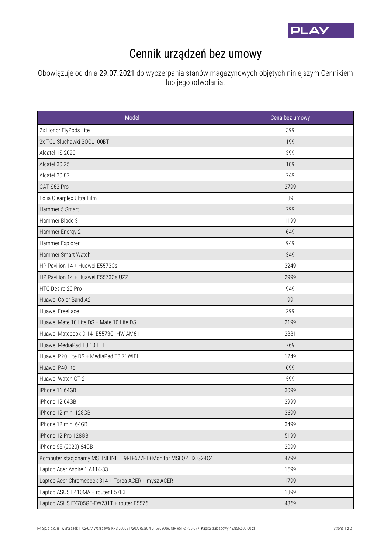

## Cennik urządzeń bez umowy

Obowiązuje od dnia 29.07.2021 do wyczerpania stanów magazynowych objętych niniejszym Cennikiem lub jego odwołania.

| Model                                                               | Cena bez umowy |
|---------------------------------------------------------------------|----------------|
| 2x Honor FlyPods Lite                                               | 399            |
| 2x TCL Słuchawki SOCL100BT                                          | 199            |
| Alcatel 1S 2020                                                     | 399            |
| Alcatel 30.25                                                       | 189            |
| Alcatel 30.82                                                       | 249            |
| CAT S62 Pro                                                         | 2799           |
| Folia Clearplex Ultra Film                                          | 89             |
| Hammer 5 Smart                                                      | 299            |
| Hammer Blade 3                                                      | 1199           |
| Hammer Energy 2                                                     | 649            |
| Hammer Explorer                                                     | 949            |
| Hammer Smart Watch                                                  | 349            |
| HP Pavilion 14 + Huawei E5573Cs                                     | 3249           |
| HP Pavilion 14 + Huawei E5573Cs UZZ                                 | 2999           |
| HTC Desire 20 Pro                                                   | 949            |
| Huawei Color Band A2                                                | 99             |
| Huawei FreeLace                                                     | 299            |
| Huawei Mate 10 Lite DS + Mate 10 Lite DS                            | 2199           |
| Huawei Matebook D 14+E5573C+HW AM61                                 | 2881           |
| Huawei MediaPad T3 10 LTE                                           | 769            |
| Huawei P20 Lite DS + MediaPad T3 7" WIFI                            | 1249           |
| Huawei P40 lite                                                     | 699            |
| Huawei Watch GT 2                                                   | 599            |
| iPhone 11 64GB                                                      | 3099           |
| iPhone 12 64GB                                                      | 3999           |
| iPhone 12 mini 128GB                                                | 3699           |
| iPhone 12 mini 64GB                                                 | 3499           |
| iPhone 12 Pro 128GB                                                 | 5199           |
| iPhone SE (2020) 64GB                                               | 2099           |
| Komputer stacjonarny MSI INFINITE 9RB-677PL+Monitor MSI OPTIX G24C4 | 4799           |
| Laptop Acer Aspire 1 A114-33                                        | 1599           |
| Laptop Acer Chromebook 314 + Torba ACER + mysz ACER                 | 1799           |
| Laptop ASUS E410MA + router E5783                                   | 1399           |
| Laptop ASUS FX705GE-EW231T + router E5576                           | 4369           |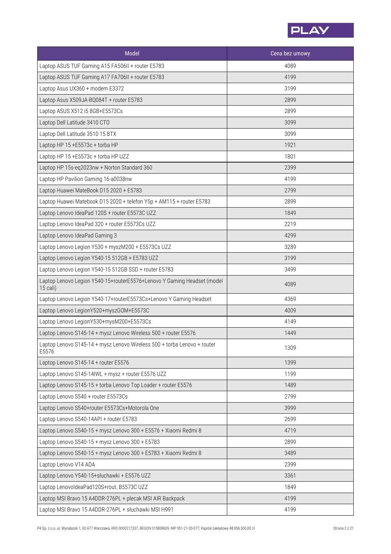

| Model                                                                               | Cena bez umowy |
|-------------------------------------------------------------------------------------|----------------|
| Laptop ASUS TUF Gaming A15 FA506II + router E5783                                   | 4089           |
| Laptop ASUS TUF Gaming A17 FA706II + router E5783                                   | 4199           |
| Laptop Asus UX360 + modem E3372                                                     | 3199           |
| Laptop Asus X509JA-BQ084T + router E5783                                            | 2899           |
| Laptop ASUS X512 i5 8GB+E5573Cs                                                     | 2899           |
| Laptop Dell Latitude 3410 CTO                                                       | 3099           |
| Laptop Dell Latitude 3510 15 BTX                                                    | 3099           |
| Laptop HP 15 +E5573c + torba HP                                                     | 1921           |
| Laptop HP 15 +E5573c + torba HP UZZ                                                 | 1801           |
| Laptop HP 15s-eq2023nw + Norton Standard 360                                        | 2399           |
| Laptop HP Pavilion Gaming 16-a0038nw                                                | 4199           |
| Laptop Huawei MateBook D15 2020 + E5783                                             | 2799           |
| Laptop Huawei Matebook D15 2020 + telefon Y5p + AM115 + router E5783                | 2899           |
| Laptop Lenovo IdeaPad 120S + router E5573C UZZ                                      | 1849           |
| Laptop Lenovo IdeaPad 320 + router E5573Cs UZZ                                      | 2219           |
| Laptop Lenovo IdeaPad Gaming 3                                                      | 4299           |
| Laptop Lenovo Legion Y530 + myszM200 + E5573Cs UZZ                                  | 3289           |
| Laptop Lenovo Legion Y540-15 512GB + E5783 UZZ                                      | 3199           |
| Laptop Lenovo Legion Y540-15 512GB SSD + router E5783                               | 3499           |
| Laptop Lenovo Legion Y540-15+routerE5576+Lenovo Y Gaming Headset (model<br>15 cali) | 4089           |
| Laptop Lenovo Legion Y540-17+routerE5573Cs+Lenovo Y Gaming Headset                  | 4369           |
| Laptop Lenovo LegionY520+myszGOM+E5573C                                             | 4009           |
| Laptop Lenovo LegionY530+mysM200+E5573Cs                                            | 4149           |
| Laptop Lenovo S145-14 + mysz Lenovo Wireless 500 + router E5576                     | 1449           |
| Laptop Lenovo S145-14 + mysz Lenovo Wireless 500 + torba Lenovo + router<br>E5576   | 1309           |
| Laptop Lenovo S145-14 + router E5576                                                | 1399           |
| Laptop Lenovo S145-14IWL + mysz + router E5576 UZZ                                  | 1199           |
| Laptop Lenovo S145-15 + torba Lenovo Top Loader + router E5576                      | 1489           |
| Laptop Lenovo S540 + router E5573Cs                                                 | 2799           |
| Laptop Lenovo S540+router E5573Cs+Motorola One                                      | 3999           |
| Laptop Lenovo S540-14API + router E5783                                             | 2699           |
| Laptop Lenovo S540-15 + mysz Lenovo 300 + E5576 + Xiaomi Redmi 8                    | 4719           |
| Laptop Lenovo S540-15 + mysz Lenovo 300 + E5783                                     | 2899           |
| Laptop Lenovo S540-15 + mysz Lenovo 300 + E5783 + Xiaomi Redmi 8                    | 3489           |
| Laptop Lenovo V14 ADA                                                               | 2399           |
| Laptop Lenovo Y540-15+słuchawki + E5576 UZZ                                         | 3361           |
| Laptop LenovoldeaPad120S+rout. B5573C UZZ                                           | 1849           |
| Laptop MSI Bravo 15 A4DDR-276PL + plecak MSI AIR Backpack                           | 4199           |
| Laptop MSI Bravo 15 A4DDR-276PL + słuchawki MSI H991                                | 4199           |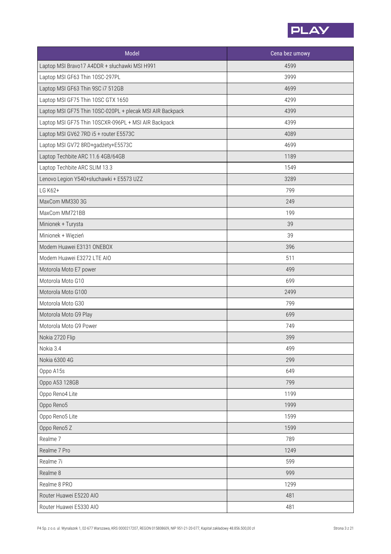

| Model                                                     | Cena bez umowy |
|-----------------------------------------------------------|----------------|
| Laptop MSI Bravo17 A4DDR + słuchawki MSI H991             | 4599           |
| Laptop MSI GF63 Thin 10SC-297PL                           | 3999           |
| Laptop MSI GF63 Thin 9SC i7 512GB                         | 4699           |
| Laptop MSI GF75 Thin 10SC GTX 1650                        | 4299           |
| Laptop MSI GF75 Thin 10SC-020PL + plecak MSI AIR Backpack | 4399           |
| Laptop MSI GF75 Thin 10SCXR-096PL + MSI AIR Backpack      | 4399           |
| Laptop MSI GV62 7RD i5 + router E5573C                    | 4089           |
| Laptop MSI GV72 8RD+gadżety+E5573C                        | 4699           |
| Laptop Techbite ARC 11.6 4GB/64GB                         | 1189           |
| Laptop Techbite ARC SLIM 13.3                             | 1549           |
| Lenovo Legion Y540+słuchawki + E5573 UZZ                  | 3289           |
| LG K62+                                                   | 799            |
| MaxCom MM330 3G                                           | 249            |
| MaxCom MM721BB                                            | 199            |
| Minionek + Turysta                                        | 39             |
| Minionek + Więzień                                        | 39             |
| Modem Huawei E3131 ONEBOX                                 | 396            |
| Modem Huawei E3272 LTE AIO                                | 511            |
| Motorola Moto E7 power                                    | 499            |
| Motorola Moto G10                                         | 699            |
| Motorola Moto G100                                        | 2499           |
| Motorola Moto G30                                         | 799            |
| Motorola Moto G9 Play                                     | 699            |
| Motorola Moto G9 Power                                    | 749            |
| Nokia 2720 Flip                                           | 399            |
| Nokia 3.4                                                 | 499            |
| Nokia 6300 4G                                             | 299            |
| Oppo A15s                                                 | 649            |
| Oppo A53 128GB                                            | 799            |
| Oppo Reno4 Lite                                           | 1199           |
| Oppo Reno5                                                | 1999           |
| Oppo Reno5 Lite                                           | 1599           |
| Oppo Reno5 Z                                              | 1599           |
| Realme 7                                                  | 789            |
| Realme 7 Pro                                              | 1249           |
| Realme 7i                                                 | 599            |
| Realme 8                                                  | 999            |
| Realme 8 PRO                                              | 1299           |
| Router Huawei E5220 AIO                                   | 481            |
| Router Huawei E5330 AIO                                   | 481            |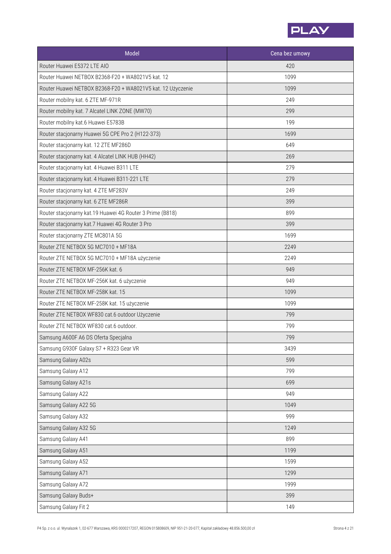

| Model                                                       | Cena bez umowy |
|-------------------------------------------------------------|----------------|
| Router Huawei E5372 LTE AIO                                 | 420            |
| Router Huawei NETBOX B2368-F20 + WA8021V5 kat. 12           | 1099           |
| Router Huawei NETBOX B2368-F20 + WA8021V5 kat. 12 Użyczenie | 1099           |
| Router mobilny kat. 6 ZTE MF-971R                           | 249            |
| Router mobilny kat. 7 Alcatel LINK ZONE (MW70)              | 299            |
| Router mobilny kat.6 Huawei E5783B                          | 199            |
| Router stacjonarny Huawei 5G CPE Pro 2 (H122-373)           | 1699           |
| Router stacjonarny kat. 12 ZTE MF286D                       | 649            |
| Router stacjonarny kat. 4 Alcatel LINK HUB (HH42)           | 269            |
| Router stacjonarny kat. 4 Huawei B311 LTE                   | 279            |
| Router stacjonarny kat. 4 Huawei B311-221 LTE               | 279            |
| Router stacjonarny kat. 4 ZTE MF283V                        | 249            |
| Router stacjonarny kat. 6 ZTE MF286R                        | 399            |
| Router stacjonarny kat.19 Huawei 4G Router 3 Prime (B818)   | 899            |
| Router stacjonarny kat.7 Huawei 4G Router 3 Pro             | 399            |
| Router stacjonarny ZTE MC801A 5G                            | 1699           |
| Router ZTE NETBOX 5G MC7010 + MF18A                         | 2249           |
| Router ZTE NETBOX 5G MC7010 + MF18A użyczenie               | 2249           |
| Router ZTE NETBOX MF-256K kat. 6                            | 949            |
| Router ZTE NETBOX MF-256K kat. 6 użyczenie                  | 949            |
| Router ZTE NETBOX MF-258K kat. 15                           | 1099           |
| Router ZTE NETBOX MF-258K kat. 15 użyczenie                 | 1099           |
| Router ZTE NETBOX WF830 cat.6 outdoor Użyczenie             | 799            |
| Router ZTE NETBOX WF830 cat.6 outdoor.                      | 799            |
| Samsung A600F A6 DS Oferta Specjalna                        | 799            |
| Samsung G930F Galaxy S7 + R323 Gear VR                      | 3439           |
| Samsung Galaxy A02s                                         | 599            |
| Samsung Galaxy A12                                          | 799            |
| Samsung Galaxy A21s                                         | 699            |
| Samsung Galaxy A22                                          | 949            |
| Samsung Galaxy A22 5G                                       | 1049           |
| Samsung Galaxy A32                                          | 999            |
| Samsung Galaxy A32 5G                                       | 1249           |
| Samsung Galaxy A41                                          | 899            |
| Samsung Galaxy A51                                          | 1199           |
| Samsung Galaxy A52                                          | 1599           |
| Samsung Galaxy A71                                          | 1299           |
| Samsung Galaxy A72                                          | 1999           |
| Samsung Galaxy Buds+                                        | 399            |
| Samsung Galaxy Fit 2                                        | 149            |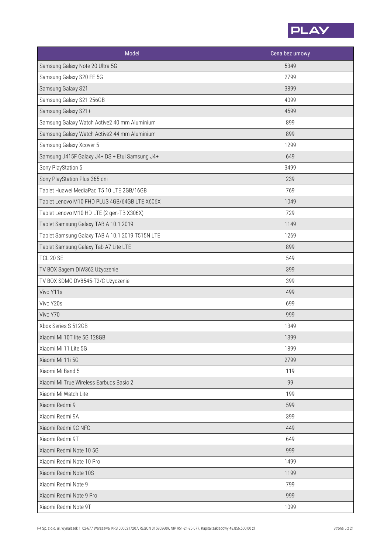

| Model                                           | Cena bez umowy |
|-------------------------------------------------|----------------|
| Samsung Galaxy Note 20 Ultra 5G                 | 5349           |
| Samsung Galaxy S20 FE 5G                        | 2799           |
| Samsung Galaxy S21                              | 3899           |
| Samsung Galaxy S21 256GB                        | 4099           |
| Samsung Galaxy S21+                             | 4599           |
| Samsung Galaxy Watch Active2 40 mm Aluminium    | 899            |
| Samsung Galaxy Watch Active2 44 mm Aluminium    | 899            |
| Samsung Galaxy Xcover 5                         | 1299           |
| Samsung J415F Galaxy J4+ DS + Etui Samsung J4+  | 649            |
| Sony PlayStation 5                              | 3499           |
| Sony PlayStation Plus 365 dni                   | 239            |
| Tablet Huawei MediaPad T5 10 LTE 2GB/16GB       | 769            |
| Tablet Lenovo M10 FHD PLUS 4GB/64GB LTE X606X   | 1049           |
| Tablet Lenovo M10 HD LTE (2 gen-TB X306X)       | 729            |
| Tablet Samsung Galaxy TAB A 10.1 2019           | 1149           |
| Tablet Samsung Galaxy TAB A 10.1 2019 T515N LTE | 1269           |
| Tablet Samsung Galaxy Tab A7 Lite LTE           | 899            |
| <b>TCL 20 SE</b>                                | 549            |
| TV BOX Sagem DIW362 Użyczenie                   | 399            |
| TV BOX SDMC DV8545-T2/C Użyczenie               | 399            |
| Vivo Y11s                                       | 499            |
| Vivo Y20s                                       | 699            |
| Vivo Y70                                        | 999            |
| Xbox Series S 512GB                             | 1349           |
| Xiaomi Mi 10T lite 5G 128GB                     | 1399           |
| Xiaomi Mi 11 Lite 5G                            | 1899           |
| Xiaomi Mi 11i 5G                                | 2799           |
| Xiaomi Mi Band 5                                | 119            |
| Xiaomi Mi True Wireless Earbuds Basic 2         | 99             |
| Xiaomi Mi Watch Lite                            | 199            |
| Xiaomi Redmi 9                                  | 599            |
| Xiaomi Redmi 9A                                 | 399            |
| Xiaomi Redmi 9C NFC                             | 449            |
| Xiaomi Redmi 9T                                 | 649            |
| Xiaomi Redmi Note 10 5G                         | 999            |
| Xiaomi Redmi Note 10 Pro                        | 1499           |
| Xiaomi Redmi Note 10S                           | 1199           |
| Xiaomi Redmi Note 9                             | 799            |
| Xiaomi Redmi Note 9 Pro                         | 999            |
| Xiaomi Redmi Note 9T                            | 1099           |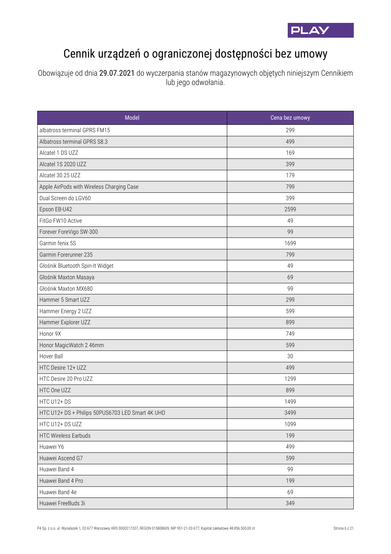

## Cennik urządzeń o ograniczonej dostępności bez umowy

Obowiązuje od dnia 29.07.2021 do wyczerpania stanów magazynowych objętych niniejszym Cennikiem lub jego odwołania.

| Model                                            | Cena bez umowy |
|--------------------------------------------------|----------------|
| albatross terminal GPRS FM15                     | 299            |
| Albatross terminal GPRS S8.3                     | 499            |
| Alcatel 1 DS UZZ                                 | 169            |
| Alcatel 1S 2020 UZZ                              | 399            |
| Alcatel 30.25 UZZ                                | 179            |
| Apple AirPods with Wireless Charging Case        | 799            |
| Dual Screen do LGV60                             | 399            |
| Epson EB-U42                                     | 2599           |
| FitGo FW10 Active                                | 49             |
| Forever ForeVigo SW-300                          | 99             |
| Garmin fenix 5S                                  | 1699           |
| Garmin Forerunner 235                            | 799            |
| Głośnik Bluetooth Spin-It Widget                 | 49             |
| Głośnik Maxton Masaya                            | 69             |
| Głośnik Maxton MX680                             | 99             |
| Hammer 5 Smart UZZ                               | 299            |
| Hammer Energy 2 UZZ                              | 599            |
| Hammer Explorer UZZ                              | 899            |
| Honor 9X                                         | 749            |
| Honor MagicWatch 2 46mm                          | 599            |
| <b>Hover Ball</b>                                | 30             |
| HTC Desire 12+ UZZ                               | 499            |
| HTC Desire 20 Pro UZZ                            | 1299           |
| HTC One UZZ                                      | 899            |
| HTC U12+DS                                       | 1499           |
| HTC U12+ DS + Philips 50PUS6703 LED Smart 4K UHD | 3499           |
| HTC U12+ DS UZZ                                  | 1099           |
| <b>HTC Wireless Earbuds</b>                      | 199            |
| Huawei Y6                                        | 499            |
| Huawei Ascend G7                                 | 599            |
| Huawei Band 4                                    | 99             |
| Huawei Band 4 Pro                                | 199            |
| Huawei Band 4e                                   | 69             |
| Huawei FreeBuds 3i                               | 349            |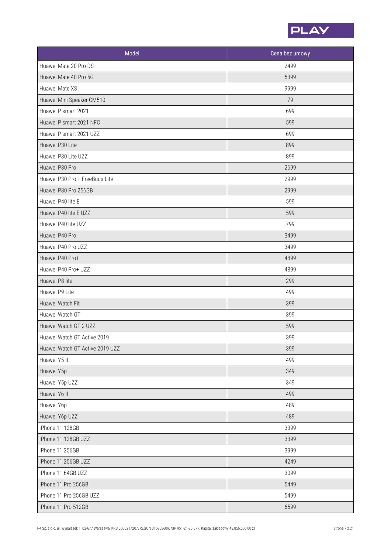

| Model                           | Cena bez umowy |
|---------------------------------|----------------|
| Huawei Mate 20 Pro DS           | 2499           |
| Huawei Mate 40 Pro 5G           | 5399           |
| Huawei Mate XS                  | 9999           |
| Huawei Mini Speaker CM510       | 79             |
| Huawei P smart 2021             | 699            |
| Huawei P smart 2021 NFC         | 599            |
| Huawei P smart 2021 UZZ         | 699            |
| Huawei P30 Lite                 | 899            |
| Huawei P30 Lite UZZ             | 899            |
| Huawei P30 Pro                  | 2699           |
| Huawei P30 Pro + FreeBuds Lite  | 2999           |
| Huawei P30 Pro 256GB            | 2999           |
| Huawei P40 lite E               | 599            |
| Huawei P40 lite E UZZ           | 599            |
| Huawei P40 lite UZZ             | 799            |
| Huawei P40 Pro                  | 3499           |
| Huawei P40 Pro UZZ              | 3499           |
| Huawei P40 Pro+                 | 4899           |
| Huawei P40 Pro+ UZZ             | 4899           |
| Huawei P8 lite                  | 299            |
| Huawei P9 Lite                  | 499            |
| Huawei Watch Fit                | 399            |
| Huawei Watch GT                 | 399            |
| Huawei Watch GT 2 UZZ           | 599            |
| Huawei Watch GT Active 2019     | 399            |
| Huawei Watch GT Active 2019 UZZ | 399            |
| Huawei Y5 II                    | 499            |
| Huawei Y5p                      | 349            |
| Huawei Y5p UZZ                  | 349            |
| Huawei Y6 II                    | 499            |
| Huawei Y6p                      | 489            |
| Huawei Y6p UZZ                  | 489            |
| iPhone 11 128GB                 | 3399           |
| iPhone 11 128GB UZZ             | 3399           |
| iPhone 11 256GB                 | 3999           |
| iPhone 11 256GB UZZ             | 4249           |
| iPhone 11 64GB UZZ              | 3099           |
| iPhone 11 Pro 256GB             | 5449           |
| iPhone 11 Pro 256GB UZZ         | 5499           |
| iPhone 11 Pro 512GB             | 6599           |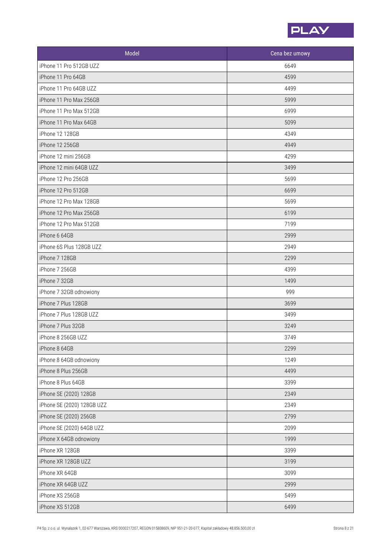

| Model                      | Cena bez umowy |
|----------------------------|----------------|
| iPhone 11 Pro 512GB UZZ    | 6649           |
| iPhone 11 Pro 64GB         | 4599           |
| iPhone 11 Pro 64GB UZZ     | 4499           |
| iPhone 11 Pro Max 256GB    | 5999           |
| iPhone 11 Pro Max 512GB    | 6999           |
| iPhone 11 Pro Max 64GB     | 5099           |
| iPhone 12 128GB            | 4349           |
| iPhone 12 256GB            | 4949           |
| iPhone 12 mini 256GB       | 4299           |
| iPhone 12 mini 64GB UZZ    | 3499           |
| iPhone 12 Pro 256GB        | 5699           |
| iPhone 12 Pro 512GB        | 6699           |
| iPhone 12 Pro Max 128GB    | 5699           |
| iPhone 12 Pro Max 256GB    | 6199           |
| iPhone 12 Pro Max 512GB    | 7199           |
| iPhone 6 64GB              | 2999           |
| iPhone 6S Plus 128GB UZZ   | 2949           |
| iPhone 7 128GB             | 2299           |
| iPhone 7 256GB             | 4399           |
| iPhone 7 32GB              | 1499           |
| iPhone 7 32GB odnowiony    | 999            |
| iPhone 7 Plus 128GB        | 3699           |
| iPhone 7 Plus 128GB UZZ    | 3499           |
| iPhone 7 Plus 32GB         | 3249           |
| iPhone 8 256GB UZZ         | 3749           |
| iPhone 8 64GB              | 2299           |
| iPhone 8 64GB odnowiony    | 1249           |
| iPhone 8 Plus 256GB        | 4499           |
| iPhone 8 Plus 64GB         | 3399           |
| iPhone SE (2020) 128GB     | 2349           |
| iPhone SE (2020) 128GB UZZ | 2349           |
| iPhone SE (2020) 256GB     | 2799           |
| iPhone SE (2020) 64GB UZZ  | 2099           |
| iPhone X 64GB odnowiony    | 1999           |
| iPhone XR 128GB            | 3399           |
| iPhone XR 128GB UZZ        | 3199           |
| iPhone XR 64GB             | 3099           |
| iPhone XR 64GB UZZ         | 2999           |
| iPhone XS 256GB            | 5499           |
| iPhone XS 512GB            | 6499           |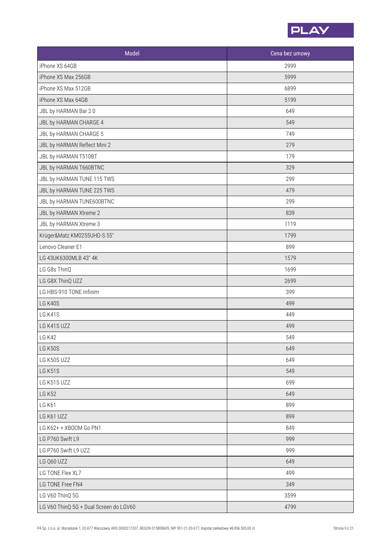

| Model                                  | Cena bez umowy |
|----------------------------------------|----------------|
| iPhone XS 64GB                         | 2999           |
| iPhone XS Max 256GB                    | 5999           |
| iPhone XS Max 512GB                    | 6899           |
| iPhone XS Max 64GB                     | 5199           |
| JBL by HARMAN Bar 2.0                  | 649            |
| JBL by HARMAN CHARGE 4                 | 549            |
| JBL by HARMAN CHARGE 5                 | 749            |
| JBL by HARMAN Reflect Mini 2           | 279            |
| JBL by HARMAN T510BT                   | 179            |
| JBL by HARMAN T660BTNC                 | 329            |
| JBL by HARMAN TUNE 115 TWS             | 299            |
| JBL by HARMAN TUNE 225 TWS             | 479            |
| JBL by HARMAN TUNE600BTNC              | 299            |
| JBL by HARMAN Xtreme 2                 | 839            |
| JBL by HARMAN Xtreme 3                 | 1119           |
| Krüger&Matz KM0255UHD-S 55"            | 1799           |
| Lenovo Cleaner E1                      | 899            |
| LG 43UK6300MLB 43" 4K                  | 1579           |
| LG G8s ThinQ                           | 1699           |
| LG G8X ThinQ UZZ                       | 2699           |
| LG HBS-910 TONE Infinim                | 399            |
| LG K40S                                | 499            |
| LG K41S                                | 449            |
| LG K41S UZZ                            | 499            |
| <b>LG K42</b>                          | 549            |
| LG K50S                                | 649            |
| LG K50S UZZ                            | 649            |
| LG K51S                                | 549            |
| LG K51S UZZ                            | 699            |
| <b>LG K52</b>                          | 649            |
| <b>LG K61</b>                          | 899            |
| LG K61 UZZ                             | 899            |
| LG K62+ + XBOOM Go PN1                 | 849            |
| LG P760 Swift L9                       | 999            |
| LG P760 Swift L9 UZZ                   | 999            |
| LG Q60 UZZ                             | 649            |
| LG TONE Flex XL7                       | 499            |
| LG TONE Free FN4                       | 349            |
| LG V60 ThinQ 5G                        | 3599           |
| LG V60 ThinQ 5G + Dual Screen do LGV60 | 4799           |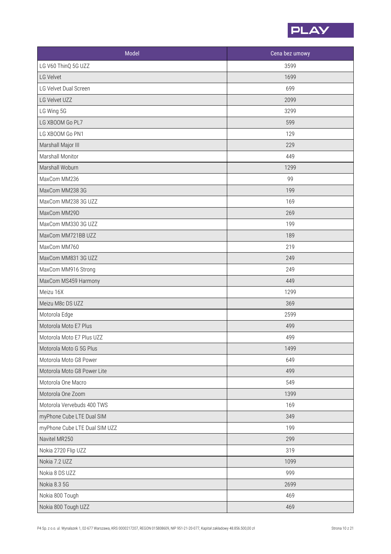

| Model                         | Cena bez umowy |
|-------------------------------|----------------|
| LG V60 ThinQ 5G UZZ           | 3599           |
| LG Velvet                     | 1699           |
| LG Velvet Dual Screen         | 699            |
| LG Velvet UZZ                 | 2099           |
| LG Wing 5G                    | 3299           |
| LG XBOOM Go PL7               | 599            |
| LG XBOOM Go PN1               | 129            |
| Marshall Major III            | 229            |
| Marshall Monitor              | 449            |
| Marshall Woburn               | 1299           |
| MaxCom MM236                  | 99             |
| MaxCom MM238 3G               | 199            |
| MaxCom MM238 3G UZZ           | 169            |
| MaxCom MM29D                  | 269            |
| MaxCom MM330 3G UZZ           | 199            |
| MaxCom MM721BB UZZ            | 189            |
| MaxCom MM760                  | 219            |
| MaxCom MM831 3G UZZ           | 249            |
| MaxCom MM916 Strong           | 249            |
| MaxCom MS459 Harmony          | 449            |
| Meizu 16X                     | 1299           |
| Meizu M8c DS UZZ              | 369            |
| Motorola Edge                 | 2599           |
| Motorola Moto E7 Plus         | 499            |
| Motorola Moto E7 Plus UZZ     | 499            |
| Motorola Moto G 5G Plus       | 1499           |
| Motorola Moto G8 Power        | 649            |
| Motorola Moto G8 Power Lite   | 499            |
| Motorola One Macro            | 549            |
| Motorola One Zoom             | 1399           |
| Motorola Vervebuds 400 TWS    | 169            |
| myPhone Cube LTE Dual SIM     | 349            |
| myPhone Cube LTE Dual SIM UZZ | 199            |
| Navitel MR250                 | 299            |
| Nokia 2720 Flip UZZ           | 319            |
| Nokia 7.2 UZZ                 | 1099           |
| Nokia 8 DS UZZ                | 999            |
| Nokia 8.3 5G                  | 2699           |
| Nokia 800 Tough               | 469            |
| Nokia 800 Tough UZZ           | 469            |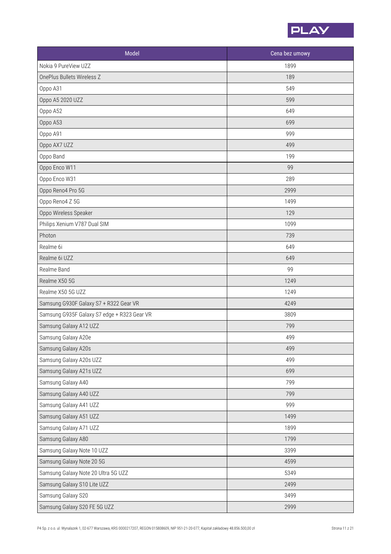

| Model                                       | Cena bez umowy |
|---------------------------------------------|----------------|
| Nokia 9 PureView UZZ                        | 1899           |
| OnePlus Bullets Wireless Z                  | 189            |
| Oppo A31                                    | 549            |
| Oppo A5 2020 UZZ                            | 599            |
| Oppo A52                                    | 649            |
| Oppo A53                                    | 699            |
| Oppo A91                                    | 999            |
| Oppo AX7 UZZ                                | 499            |
| Oppo Band                                   | 199            |
| Oppo Enco W11                               | 99             |
| Oppo Enco W31                               | 289            |
| Oppo Reno4 Pro 5G                           | 2999           |
| Oppo Reno4 Z 5G                             | 1499           |
| Oppo Wireless Speaker                       | 129            |
| Philips Xenium V787 Dual SIM                | 1099           |
| Photon                                      | 739            |
| Realme 6i                                   | 649            |
| Realme 6i UZZ                               | 649            |
| Realme Band                                 | 99             |
| Realme X50 5G                               | 1249           |
| Realme X50 5G UZZ                           | 1249           |
| Samsung G930F Galaxy S7 + R322 Gear VR      | 4249           |
| Samsung G935F Galaxy S7 edge + R323 Gear VR | 3809           |
| Samsung Galaxy A12 UZZ                      | 799            |
| Samsung Galaxy A20e                         | 499            |
| Samsung Galaxy A20s                         | 499            |
| Samsung Galaxy A20s UZZ                     | 499            |
| Samsung Galaxy A21s UZZ                     | 699            |
| Samsung Galaxy A40                          | 799            |
| Samsung Galaxy A40 UZZ                      | 799            |
| Samsung Galaxy A41 UZZ                      | 999            |
| Samsung Galaxy A51 UZZ                      | 1499           |
| Samsung Galaxy A71 UZZ                      | 1899           |
| Samsung Galaxy A80                          | 1799           |
| Samsung Galaxy Note 10 UZZ                  | 3399           |
| Samsung Galaxy Note 20 5G                   | 4599           |
| Samsung Galaxy Note 20 Ultra 5G UZZ         | 5349           |
| Samsung Galaxy S10 Lite UZZ                 | 2499           |
| Samsung Galaxy S20                          | 3499           |
| Samsung Galaxy S20 FE 5G UZZ                | 2999           |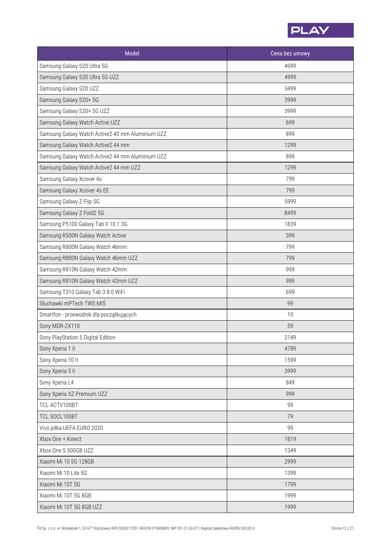

| Model                                            | Cena bez umowy |
|--------------------------------------------------|----------------|
| Samsung Galaxy S20 Ultra 5G                      | 4999           |
| Samsung Galaxy S20 Ultra 5G UZZ                  | 4999           |
| Samsung Galaxy S20 UZZ                           | 3499           |
| Samsung Galaxy S20+ 5G                           | 3999           |
| Samsung Galaxy S20+ 5G UZZ                       | 3999           |
| Samsung Galaxy Watch Active UZZ                  | 699            |
| Samsung Galaxy Watch Active2 40 mm Aluminium UZZ | 899            |
| Samsung Galaxy Watch Active2 44 mm               | 1299           |
| Samsung Galaxy Watch Active2 44 mm Aluminium UZZ | 899            |
| Samsung Galaxy Watch Active2 44 mm UZZ           | 1299           |
| Samsung Galaxy Xcover 4s                         | 799            |
| Samsung Galaxy Xcover 4s EE                      | 799            |
| Samsung Galaxy Z Flip 5G                         | 5999           |
| Samsung Galaxy Z Fold2 5G                        | 8499           |
| Samsung P5100 Galaxy Tab II 10.1 3G              | 1839           |
| Samsung R500N Galaxy Watch Active                | 399            |
| Samsung R800N Galaxy Watch 46mm                  | 799            |
| Samsung R800N Galaxy Watch 46mm UZZ              | 799            |
| Samsung R810N Galaxy Watch 42mm                  | 999            |
| Samsung R810N Galaxy Watch 42mm UZZ              | 999            |
| Samsung T310 Galaxy Tab 3 8.0 WiFi               | 699            |
| Słuchawki mPTech TWS MIŚ                         | 99             |
| Smartfon - przewodnik dla początkujących         | 10             |
| Sony MDR-ZX110                                   | 59             |
| Sony PlayStation 5 Digital Edition               | 2149           |
| Sony Xperia 1 II                                 | 4789           |
| Sony Xperia 10 II                                | 1599           |
| Sony Xperia 5 II                                 | 3999           |
| Sony Xperia L4                                   | 849            |
| Sony Xperia XZ Premium UZZ                       | 999            |
| TCL ACTV100BT                                    | 99             |
| TCL SOCL100BT                                    | 79             |
| Vivo piłka UEFA EURO 2020                        | 99             |
| Xbox One + Kinect                                | 1819           |
| Xbox One S 500GB UZZ                             | 1349           |
| Xiaomi Mi 10 5G 128GB                            | 2999           |
| Xiaomi Mi 10 Lite 5G                             | 1399           |
| Xiaomi Mi 10T 5G                                 | 1799           |
| Xiaomi Mi 10T 5G 8GB                             | 1999           |
| Xiaomi Mi 10T 5G 8GB UZZ                         | 1999           |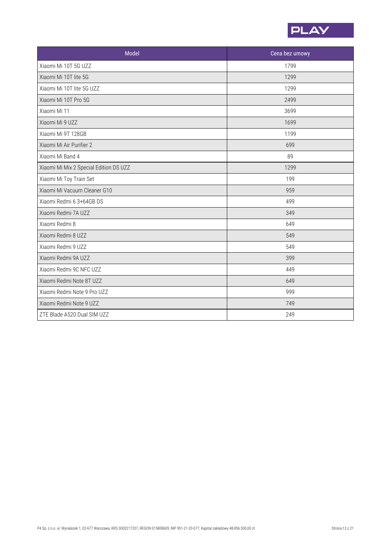

| <b>Model</b>                           | Cena bez umowy |
|----------------------------------------|----------------|
| Xiaomi Mi 10T 5G UZZ                   | 1799           |
| Xiaomi Mi 10T lite 5G                  | 1299           |
| Xiaomi Mi 10T lite 5G UZZ              | 1299           |
| Xiaomi Mi 10T Pro 5G                   | 2499           |
| Xiaomi Mi 11                           | 3699           |
| Xiaomi Mi 9 UZZ                        | 1699           |
| Xiaomi Mi 9T 128GB                     | 1199           |
| Xiaomi Mi Air Purifier 2               | 699            |
| Xiaomi Mi Band 4                       | 89             |
| Xiaomi Mi Mix 2 Special Edition DS UZZ | 1299           |
| Xiaomi Mi Toy Train Set                | 199            |
| Xiaomi Mi Vacuum Cleaner G10           | 959            |
| Xiaomi Redmi 6 3+64GB DS               | 499            |
| Xiaomi Redmi 7A UZZ                    | 349            |
| Xiaomi Redmi 8                         | 649            |
| Xiaomi Redmi 8 UZZ                     | 549            |
| Xiaomi Redmi 9 UZZ                     | 549            |
| Xiaomi Redmi 9A UZZ                    | 399            |
| Xiaomi Redmi 9C NFC UZZ                | 449            |
| Xiaomi Redmi Note 8T UZZ               | 649            |
| Xiaomi Redmi Note 9 Pro UZZ            | 999            |
| Xiaomi Redmi Note 9 UZZ                | 749            |
| ZTE Blade A520 Dual SIM UZZ            | 249            |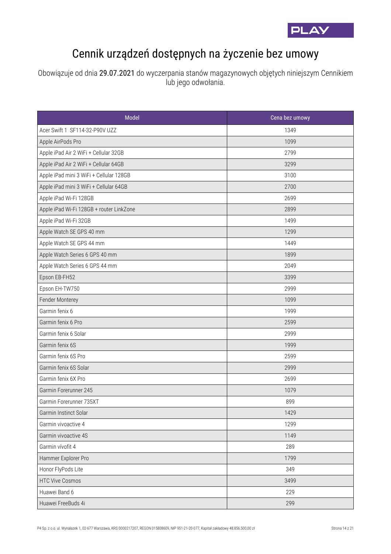

## Cennik urządzeń dostępnych na życzenie bez umowy

Obowiązuje od dnia 29.07.2021 do wyczerpania stanów magazynowych objętych niniejszym Cennikiem lub jego odwołania.

| Model                                    | Cena bez umowy |
|------------------------------------------|----------------|
| Acer Swift 1 SF114-32-P90V UZZ           | 1349           |
| Apple AirPods Pro                        | 1099           |
| Apple iPad Air 2 WiFi + Cellular 32GB    | 2799           |
| Apple iPad Air 2 WiFi + Cellular 64GB    | 3299           |
| Apple iPad mini 3 WiFi + Cellular 128GB  | 3100           |
| Apple iPad mini 3 WiFi + Cellular 64GB   | 2700           |
| Apple iPad Wi-Fi 128GB                   | 2699           |
| Apple iPad Wi-Fi 128GB + router LinkZone | 2899           |
| Apple iPad Wi-Fi 32GB                    | 1499           |
| Apple Watch SE GPS 40 mm                 | 1299           |
| Apple Watch SE GPS 44 mm                 | 1449           |
| Apple Watch Series 6 GPS 40 mm           | 1899           |
| Apple Watch Series 6 GPS 44 mm           | 2049           |
| Epson EB-FH52                            | 3399           |
| Epson EH-TW750                           | 2999           |
| Fender Monterey                          | 1099           |
| Garmin fenix 6                           | 1999           |
| Garmin fenix 6 Pro                       | 2599           |
| Garmin fenix 6 Solar                     | 2999           |
| Garmin fenix 6S                          | 1999           |
| Garmin fenix 6S Pro                      | 2599           |
| Garmin fenix 6S Solar                    | 2999           |
| Garmin fenix 6X Pro                      | 2699           |
| Garmin Forerunner 245                    | 1079           |
| Garmin Forerunner 735XT                  | 899            |
| Garmin Instinct Solar                    | 1429           |
| Garmin vivoactive 4                      | 1299           |
| Garmin vivoactive 4S                     | 1149           |
| Garmin vívofit 4                         | 289            |
| Hammer Explorer Pro                      | 1799           |
| Honor FlyPods Lite                       | 349            |
| <b>HTC Vive Cosmos</b>                   | 3499           |
| Huawei Band 6                            | 229            |
| Huawei FreeBuds 4i                       | 299            |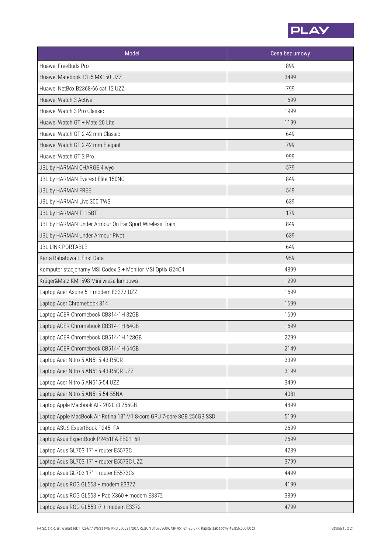

| Model                                                                  | Cena bez umowy |
|------------------------------------------------------------------------|----------------|
| Huawei FreeBuds Pro                                                    | 899            |
| Huawei Matebook 13 i5 MX150 UZZ                                        | 3499           |
| Huawei NetBox B2368-66 cat.12 UZZ                                      | 799            |
| Huawei Watch 3 Active                                                  | 1699           |
| Huawei Watch 3 Pro Classic                                             | 1999           |
| Huawei Watch GT + Mate 20 Lite                                         | 1199           |
| Huawei Watch GT 2 42 mm Classic                                        | 649            |
| Huawei Watch GT 2 42 mm Elegant                                        | 799            |
| Huawei Watch GT 2 Pro                                                  | 999            |
| JBL by HARMAN CHARGE 4 wyc                                             | 579            |
| JBL by HARMAN Everest Elite 150NC                                      | 849            |
| JBL by HARMAN FREE                                                     | 549            |
| JBL by HARMAN Live 300 TWS                                             | 639            |
| JBL by HARMAN T115BT                                                   | 179            |
| JBL by HARMAN Under Armour On Ear Sport Wireless Train                 | 849            |
| JBL by HARMAN Under Armour Pivot                                       | 639            |
| <b>JBL LINK PORTABLE</b>                                               | 649            |
| Karta Rabatowa L First Data                                            | 959            |
| Komputer stacjonarny MSI Codex S + Monitor MSI Optix G24C4             | 4899           |
| Krüger&Matz KM1598 Mini wieża lampowa                                  | 1299           |
| Laptop Acer Aspire 5 + modem E3372 UZZ                                 | 1699           |
| Laptop Acer Chromebook 314                                             | 1699           |
| Laptop ACER Chromebook CB314-1H 32GB                                   | 1699           |
| Laptop ACER Chromebook CB314-1H 64GB                                   | 1699           |
| Laptop ACER Chromebook CB514-1H 128GB                                  | 2299           |
| Laptop ACER Chromebook CB514-1H 64GB                                   | 2149           |
| Laptop Acer Nitro 5 AN515-43-R5QR                                      | 3399           |
| Laptop Acer Nitro 5 AN515-43-R5QR UZZ                                  | 3199           |
| Laptop Acer Nitro 5 AN515-54 UZZ                                       | 3499           |
| Laptop Acer Nitro 5 AN515-54-55NA                                      | 4081           |
| Laptop Apple Macbook AIR 2020 i3 256GB                                 | 4899           |
| Laptop Apple MacBook Air Retina 13" M1 8-core GPU 7-core 8GB 256GB SSD | 5199           |
| Laptop ASUS ExpertBook P2451FA                                         | 2699           |
| Laptop Asus ExpertBook P2451FA-EB0116R                                 | 2699           |
| Laptop Asus GL703 17" + router E5573C                                  | 4289           |
| Laptop Asus GL703 17" + router E5573C UZZ                              | 3799           |
| Laptop Asus GL703 17" + router E5573Cs                                 | 4499           |
| Laptop Asus ROG GL553 + modem E3372                                    | 4199           |
| Laptop Asus ROG GL553 + Pad X360 + modem E3372                         | 3899           |
| Laptop Asus ROG GL553 i7 + modem E3372                                 | 4799           |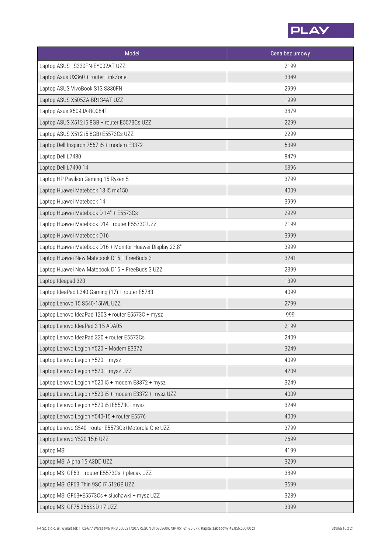

| Model                                                     | Cena bez umowy |
|-----------------------------------------------------------|----------------|
| Laptop ASUS S330FN-EY002AT UZZ                            | 2199           |
| Laptop Asus UX360 + router LinkZone                       | 3349           |
| Laptop ASUS VivoBook S13 S330FN                           | 2999           |
| Laptop ASUS X505ZA-BR134AT UZZ                            | 1999           |
| Laptop Asus X509JA-BQ084T                                 | 3879           |
| Laptop ASUS X512 i5 8GB + router E5573Cs UZZ              | 2299           |
| Laptop ASUS X512 i5 8GB+E5573Cs UZZ                       | 2299           |
| Laptop Dell Inspiron 7567 i5 + modem E3372                | 5399           |
| Laptop Dell L7480                                         | 8479           |
| Laptop Dell L7490 14                                      | 6396           |
| Laptop HP Pavilion Gaming 15 Ryzen 5                      | 3799           |
| Laptop Huawei Matebook 13 i5 mx150                        | 4009           |
| Laptop Huawei Matebook 14                                 | 3999           |
| Laptop Huawei Matebook D 14" + E5573Cs                    | 2929           |
| Laptop Huawei Matebook D14+ router E5573C UZZ             | 2199           |
| Laptop Huawei Matebook D16                                | 3999           |
| Laptop Huawei Matebook D16 + Monitor Huawei Display 23.8" | 3999           |
| Laptop Huawei New Matebook D15 + FreeBuds 3               | 3241           |
| Laptop Huawei New Matebook D15 + FreeBuds 3 UZZ           | 2399           |
| Laptop Ideapad 320                                        | 1399           |
| Laptop IdeaPad L340 Gaming (17) + router E5783            | 4099           |
| Laptop Lenovo 15 S540-15IWL UZZ                           | 2799           |
| Laptop Lenovo IdeaPad 120S + router E5573C + mysz         | 999            |
| Laptop Lenovo IdeaPad 3 15 ADA05                          | 2199           |
| Laptop Lenovo IdeaPad 320 + router E5573Cs                | 2409           |
| Laptop Lenovo Legion Y520 + Modem E3372                   | 3249           |
| Laptop Lenovo Legion Y520 + mysz                          | 4099           |
| Laptop Lenovo Legion Y520 + mysz UZZ                      | 4209           |
| Laptop Lenovo Legion Y520 i5 + modem E3372 + mysz         | 3249           |
| Laptop Lenovo Legion Y520 i5 + modem E3372 + mysz UZZ     | 4009           |
| Laptop Lenovo Legion Y520 i5+E5573C+mysz                  | 3249           |
| Laptop Lenovo Legion Y540-15 + router E5576               | 4009           |
| Laptop Lenovo S540+router E5573Cs+Motorola One UZZ        | 3799           |
| Laptop Lenovo Y520 15,6 UZZ                               | 2699           |
| Laptop MSI                                                | 4199           |
| Laptop MSI Alpha 15 A3DD UZZ                              | 3299           |
| Laptop MSI GF63 + router E5573Cs + plecak UZZ             | 3899           |
| Laptop MSI GF63 Thin 9SC i7 512GB UZZ                     | 3599           |
| Laptop MSI GF63+E5573Cs + słuchawki + mysz UZZ            | 3289           |
| Laptop MSI GF75 256SSD 17 UZZ                             | 3399           |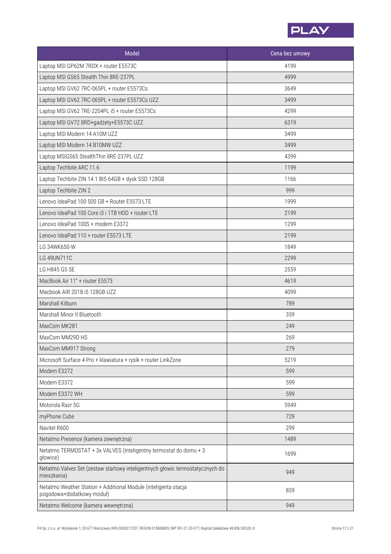

| Model                                                                                        | Cena bez umowy |
|----------------------------------------------------------------------------------------------|----------------|
| Laptop MSI GP62M 7RDX + router E5573C                                                        | 4199           |
| Laptop MSI GS65 Stealth Thin 8RE-237PL                                                       | 4999           |
| Laptop MSI GV62 7RC-065PL + router E5573Cs                                                   | 3649           |
| Laptop MSI GV62 7RC-065PL + router E5573Cs UZZ                                               | 3499           |
| Laptop MSI GV62 7RE-2204PL i5 + router E5573Cs                                               | 4299           |
| Laptop MSI GV72 8RD+gadżety+E5573C UZZ                                                       | 6319           |
| Laptop MSI Modern 14 A10M UZZ                                                                | 3499           |
| Laptop MSI Modern 14 B10MW UZZ                                                               | 3499           |
| Laptop MSIGS65 StealthThin 8RE-237PL UZZ                                                     | 4399           |
| Laptop Techbite ARC 11.6                                                                     | 1199           |
| Laptop Techbite ZIN 14.1 BIS 64GB + dysk SSD 128GB                                           | 1166           |
| Laptop Techbite ZIN 2                                                                        | 999            |
| Lenovo IdeaPad 100 500 GB + Router E5573 LTE                                                 | 1999           |
| Lenovo IdeaPad 100 Core i3 i 1TB HDD + router LTE                                            | 2199           |
| Lenovo IdeaPad 100S + modem E3372                                                            | 1299           |
| Lenovo IdeaPad 110 + router E5573 LTE                                                        | 2199           |
| LG 34WK650-W                                                                                 | 1849           |
| LG 49UN711C                                                                                  | 2299           |
| LG H845 G5 SE                                                                                | 2559           |
| MacBook Air 11" + router E5573                                                               | 4619           |
| Macbook AIR 2018 i5 128GB UZZ                                                                | 4099           |
| Marshall Kilburn                                                                             | 789            |
| Marshall Minor II Bluetooth                                                                  | 359            |
| MaxCom MK281                                                                                 | 249            |
| MaxCom MM29D HS                                                                              | 269            |
| MaxCom MM917 Strong                                                                          | 279            |
| Microsoft Surface 4 Pro + klawiatura + rysik + router LinkZone                               | 5219           |
| Modem E3272                                                                                  | 599            |
| Modem E3372                                                                                  | 599            |
| Modem E3372 WH                                                                               | 599            |
| Motorola Razr 5G                                                                             | 5949           |
| myPhone Cube                                                                                 | 729            |
| Navitel R600                                                                                 | 299            |
| Netatmo Presence (kamera zewnętrzna)                                                         | 1489           |
| Netatmo TERMOSTAT + 3x VALVES (Inteligentny termostat do domu + 3<br>głowice)                | 1699           |
| Netatmo Valves Set (zestaw startowy inteligentnych głowic termostatycznych do<br>mieszkania) | 949            |
| Netatmo Weather Station + Additional Module (inteligenta stacja<br>pogodowa+dodatkowy moduł) | 859            |
| Netatmo Welcome (kamera wewnętrzna)                                                          | 949            |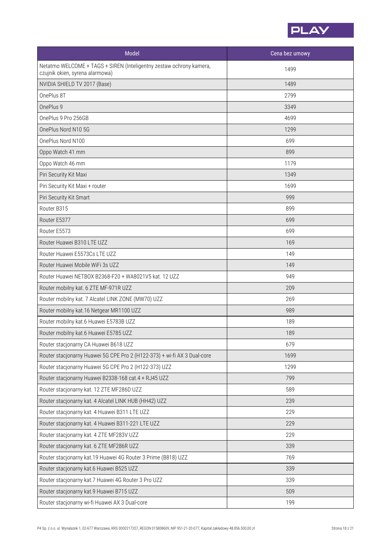

| <b>Model</b>                                                                                           | Cena bez umowy |
|--------------------------------------------------------------------------------------------------------|----------------|
| Netatmo WELCOME + TAGS + SIREN (Inteligentny zestaw ochrony kamera,<br>czujnik okien, syrena alarmowa) | 1499           |
| NVIDIA SHIELD TV 2017 (Base)                                                                           | 1489           |
| OnePlus 8T                                                                                             | 2799           |
| OnePlus 9                                                                                              | 3349           |
| OnePlus 9 Pro 256GB                                                                                    | 4699           |
| OnePlus Nord N10 5G                                                                                    | 1299           |
| OnePlus Nord N100                                                                                      | 699            |
| Oppo Watch 41 mm                                                                                       | 899            |
| Oppo Watch 46 mm                                                                                       | 1179           |
| Piri Security Kit Maxi                                                                                 | 1349           |
| Piri Security Kit Maxi + router                                                                        | 1699           |
| Piri Security Kit Smart                                                                                | 999            |
| Router B315                                                                                            | 899            |
| Router E5377                                                                                           | 699            |
| Router E5573                                                                                           | 699            |
| Router Huawei B310 LTE UZZ                                                                             | 169            |
| Router Huawei E5573Cs LTE UZZ                                                                          | 149            |
| Router Huawei Mobile WiFi 3s UZZ                                                                       | 149            |
| Router Huawei NETBOX B2368-F20 + WA8021V5 kat. 12 UZZ                                                  | 949            |
| Router mobilny kat. 6 ZTE MF-971R UZZ                                                                  | 209            |
| Router mobilny kat. 7 Alcatel LINK ZONE (MW70) UZZ                                                     | 269            |
| Router mobilny kat.16 Netgear MR1100 UZZ                                                               | 989            |
| Router mobilny kat.6 Huawei E5783B UZZ                                                                 | 189            |
| Router mobilny kat.6 Huawei E5785 UZZ                                                                  | 189            |
| Router stacjonarny CA Huawei B618 UZZ                                                                  | 679            |
| Router stacjonarny Huawei 5G CPE Pro 2 (H122-373) + wi-fi AX 3 Dual-core                               | 1699           |
| Router stacjonarny Huawei 5G CPE Pro 2 (H122-373) UZZ                                                  | 1299           |
| Router stacjonarny Huawei B2338-168 cat.4 + RJ45 UZZ                                                   | 799            |
| Router stacjonarny kat. 12 ZTE MF286D UZZ                                                              | 589            |
| Router stacjonarny kat. 4 Alcatel LINK HUB (HH42) UZZ                                                  | 239            |
| Router stacjonarny kat. 4 Huawei B311 LTE UZZ                                                          | 229            |
| Router stacjonarny kat. 4 Huawei B311-221 LTE UZZ                                                      | 229            |
| Router stacjonarny kat. 4 ZTE MF283V UZZ                                                               | 229            |
| Router stacjonarny kat. 6 ZTE MF286R UZZ                                                               | 339            |
| Router stacjonarny kat.19 Huawei 4G Router 3 Prime (B818) UZZ                                          | 769            |
| Router stacjonarny kat.6 Huawei B525 UZZ                                                               | 339            |
| Router stacjonarny kat.7 Huawei 4G Router 3 Pro UZZ                                                    | 339            |
| Router stacjonarny kat.9 Huawei B715 UZZ                                                               | 509            |
| Router stacjonarny wi-fi Huawei AX 3 Dual-core                                                         | 199            |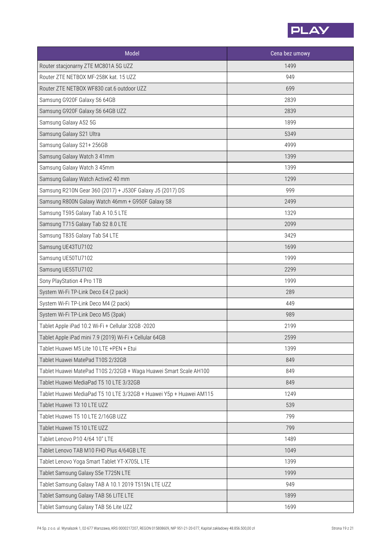

| Model                                                               | Cena bez umowy |
|---------------------------------------------------------------------|----------------|
| Router stacjonarny ZTE MC801A 5G UZZ                                | 1499           |
| Router ZTE NETBOX MF-258K kat. 15 UZZ                               | 949            |
| Router ZTE NETBOX WF830 cat.6 outdoor UZZ                           | 699            |
| Samsung G920F Galaxy S6 64GB                                        | 2839           |
| Samsung G920F Galaxy S6 64GB UZZ                                    | 2839           |
| Samsung Galaxy A52 5G                                               | 1899           |
| Samsung Galaxy S21 Ultra                                            | 5349           |
| Samsung Galaxy S21+256GB                                            | 4999           |
| Samsung Galaxy Watch 3 41mm                                         | 1399           |
| Samsung Galaxy Watch 3 45mm                                         | 1399           |
| Samsung Galaxy Watch Active2 40 mm                                  | 1299           |
| Samsung R210N Gear 360 (2017) + J530F Galaxy J5 (2017) DS           | 999            |
| Samsung R800N Galaxy Watch 46mm + G950F Galaxy S8                   | 2499           |
| Samsung T595 Galaxy Tab A 10.5 LTE                                  | 1329           |
| Samsung T715 Galaxy Tab S2 8.0 LTE                                  | 2099           |
| Samsung T835 Galaxy Tab S4 LTE                                      | 3429           |
| Samsung UE43TU7102                                                  | 1699           |
| Samsung UE50TU7102                                                  | 1999           |
| Samsung UE55TU7102                                                  | 2299           |
| Sony PlayStation 4 Pro 1TB                                          | 1999           |
| System Wi-Fi TP-Link Deco E4 (2 pack)                               | 289            |
| System Wi-Fi TP-Link Deco M4 (2 pack)                               | 449            |
| System Wi-Fi TP-Link Deco M5 (3pak)                                 | 989            |
| Tablet Apple iPad 10.2 Wi-Fi + Cellular 32GB -2020                  | 2199           |
| Tablet Apple iPad mini 7.9 (2019) Wi-Fi + Cellular 64GB             | 2599           |
| Tablet Huawei M5 Lite 10 LTE +PEN + Etui                            | 1399           |
| Tablet Huawei MatePad T10S 2/32GB                                   | 849            |
| Tablet Huawei MatePad T10S 2/32GB + Waga Huawei Smart Scale AH100   | 849            |
| Tablet Huawei MediaPad T5 10 LTE 3/32GB                             | 849            |
| Tablet Huawei MediaPad T5 10 LTE 3/32GB + Huawei Y5p + Huawei AM115 | 1249           |
| Tablet Huawei T3 10 LTE UZZ                                         | 539            |
| Tablet Huawei T5 10 LTE 2/16GB UZZ                                  | 799            |
| Tablet Huawei T5 10 LTE UZZ                                         | 799            |
| Tablet Lenovo P10 4/64 10" LTE                                      | 1489           |
| Tablet Lenovo TAB M10 FHD Plus 4/64GB LTE                           | 1049           |
| Tablet Lenovo Yoga Smart Tablet YT-X705L LTE                        | 1399           |
| Tablet Samsung Galaxy S5e T725N LTE                                 | 1999           |
| Tablet Samsung Galaxy TAB A 10.1 2019 T515N LTE UZZ                 | 949            |
| Tablet Samsung Galaxy TAB S6 LITE LTE                               | 1899           |
| Tablet Samsung Galaxy TAB S6 Lite UZZ                               | 1699           |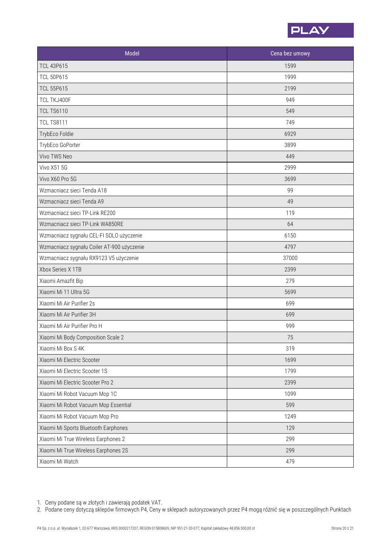

| Model                                      | Cena bez umowy |
|--------------------------------------------|----------------|
| <b>TCL 43P615</b>                          | 1599           |
| <b>TCL 50P615</b>                          | 1999           |
| <b>TCL 55P615</b>                          | 2199           |
| TCL TKJ400F                                | 949            |
| <b>TCL TS6110</b>                          | 549            |
| <b>TCL TS8111</b>                          | 749            |
| TrybEco Foldie                             | 6929           |
| TrybEco GoPorter                           | 3899           |
| Vivo TWS Neo                               | 449            |
| Vivo X51 5G                                | 2999           |
| Vivo X60 Pro 5G                            | 3699           |
| Wzmacniacz sieci Tenda A18                 | 99             |
| Wzmacniacz sieci Tenda A9                  | 49             |
| Wzmacniacz sieci TP-Link RE200             | 119            |
| Wzmacniacz sieci TP-Link WA850RE           | 64             |
| Wzmacniacz sygnału CEL-FI SOLO użyczenie   | 6150           |
| Wzmacniacz sygnału Coiler AT-900 użyczenie | 4797           |
| Wzmacniacz sygnału RX9123 V5 użyczenie     | 37000          |
| Xbox Series X 1TB                          | 2399           |
| Xiaomi Amazfit Bip                         | 279            |
| Xiaomi Mi 11 Ultra 5G                      | 5699           |
| Xiaomi Mi Air Purifier 2s                  | 699            |
| Xiaomi Mi Air Purifier 3H                  | 699            |
| Xiaomi Mi Air Purifier Pro H               | 999            |
| Xiaomi Mi Body Composition Scale 2         | 75             |
| Xiaomi Mi Box S 4K                         | 319            |
| Xiaomi Mi Electric Scooter                 | 1699           |
| Xiaomi Mi Electric Scooter 1S              | 1799           |
| Xiaomi Mi Electric Scooter Pro 2           | 2399           |
| Xiaomi Mi Robot Vacuum Mop 1C              | 1099           |
| Xiaomi Mi Robot Vacuum Mop Essential       | 599            |
| Xiaomi Mi Robot Vacuum Mop Pro             | 1249           |
| Xiaomi Mi Sports Bluetooth Earphones       | 129            |
| Xiaomi Mi True Wireless Earphones 2        | 299            |
| Xiaomi Mi True Wireless Earphones 2S       | 299            |
| Xiaomi Mi Watch                            | 479            |

Ceny podane są w złotych i zawierają podatek VAT. 1. Cen

Podane ceny dotyczą sklepów firmowych P4, Ceny w sklepach autoryzowanych przez P4 mogą różnić się w poszczególnych Punktach 2. Pod